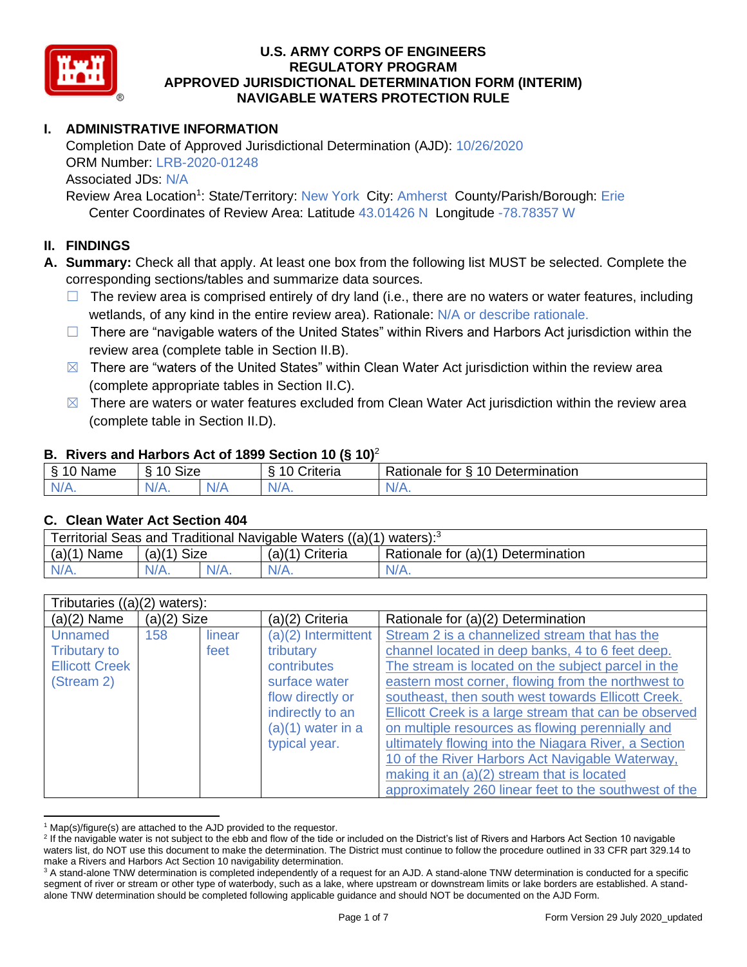

# **I. ADMINISTRATIVE INFORMATION**

Completion Date of Approved Jurisdictional Determination (AJD): 10/26/2020 ORM Number: LRB-2020-01248 Associated JDs: N/A Review Area Location<sup>1</sup>: State/Territory: New York City: Amherst County/Parish/Borough: Erie

Center Coordinates of Review Area: Latitude 43.01426 N Longitude -78.78357 W

# **II. FINDINGS**

**A. Summary:** Check all that apply. At least one box from the following list MUST be selected. Complete the corresponding sections/tables and summarize data sources.

- $\Box$  The review area is comprised entirely of dry land (i.e., there are no waters or water features, including wetlands, of any kind in the entire review area). Rationale: N/A or describe rationale.
- $\Box$  There are "navigable waters of the United States" within Rivers and Harbors Act jurisdiction within the review area (complete table in Section II.B).
- $\boxtimes$  There are "waters of the United States" within Clean Water Act jurisdiction within the review area (complete appropriate tables in Section II.C).
- $\boxtimes$  There are waters or water features excluded from Clean Water Act jurisdiction within the review area (complete table in Section II.D).

#### **B. Rivers and Harbors Act of 1899 Section 10 (§ 10)**<sup>2</sup>

| δ.<br>1000<br>Name | $\sim$<br>10<br>SIZE<br>∘ |   | Criteria<br>$\sim$<br>-<br>ΙU | Determination<br>$\Delta$<br>tor<br>Rationale |
|--------------------|---------------------------|---|-------------------------------|-----------------------------------------------|
| N/A.               | N/A.                      | . | NI/<br>.                      | N/A.                                          |

# **C. Clean Water Act Section 404**

| Territorial Seas and Traditional Navigable Waters $((a)(1)$ waters): <sup>3</sup> |                       |  |                   |                                    |  |  |  |
|-----------------------------------------------------------------------------------|-----------------------|--|-------------------|------------------------------------|--|--|--|
| (a)(1)<br>Name                                                                    | <b>Size</b><br>(a)(1) |  | $(a)(1)$ Criteria | Rationale for (a)(1) Determination |  |  |  |
| IV/A.                                                                             | $N/A$ .               |  | N/A.              | $N/A$ .                            |  |  |  |

| Tributaries $((a)(2)$ waters):                                               |               |                |                                                                                                                                                    |                                                                                                                                                                                                                                                                                                                                                                                                                                                                                                                                           |  |  |
|------------------------------------------------------------------------------|---------------|----------------|----------------------------------------------------------------------------------------------------------------------------------------------------|-------------------------------------------------------------------------------------------------------------------------------------------------------------------------------------------------------------------------------------------------------------------------------------------------------------------------------------------------------------------------------------------------------------------------------------------------------------------------------------------------------------------------------------------|--|--|
| $(a)(2)$ Name                                                                | $(a)(2)$ Size |                | (a)(2) Criteria                                                                                                                                    | Rationale for (a)(2) Determination                                                                                                                                                                                                                                                                                                                                                                                                                                                                                                        |  |  |
| <b>Unnamed</b><br><b>Tributary to</b><br><b>Ellicott Creek</b><br>(Stream 2) | 158           | linear<br>feet | $(a)(2)$ Intermittent<br>tributary<br>contributes<br>surface water<br>flow directly or<br>indirectly to an<br>$(a)(1)$ water in a<br>typical year. | Stream 2 is a channelized stream that has the<br>channel located in deep banks, 4 to 6 feet deep.<br>The stream is located on the subject parcel in the<br>eastern most corner, flowing from the northwest to<br>southeast, then south west towards Ellicott Creek.<br>Ellicott Creek is a large stream that can be observed<br>on multiple resources as flowing perennially and<br>ultimately flowing into the Niagara River, a Section<br>10 of the River Harbors Act Navigable Waterway,<br>making it an (a)(2) stream that is located |  |  |
|                                                                              |               |                |                                                                                                                                                    | approximately 260 linear feet to the southwest of the                                                                                                                                                                                                                                                                                                                                                                                                                                                                                     |  |  |

 $1$  Map(s)/figure(s) are attached to the AJD provided to the requestor.

<sup>&</sup>lt;sup>2</sup> If the navigable water is not subject to the ebb and flow of the tide or included on the District's list of Rivers and Harbors Act Section 10 navigable waters list, do NOT use this document to make the determination. The District must continue to follow the procedure outlined in 33 CFR part 329.14 to make a Rivers and Harbors Act Section 10 navigability determination.

<sup>&</sup>lt;sup>3</sup> A stand-alone TNW determination is completed independently of a request for an AJD. A stand-alone TNW determination is conducted for a specific segment of river or stream or other type of waterbody, such as a lake, where upstream or downstream limits or lake borders are established. A standalone TNW determination should be completed following applicable guidance and should NOT be documented on the AJD Form.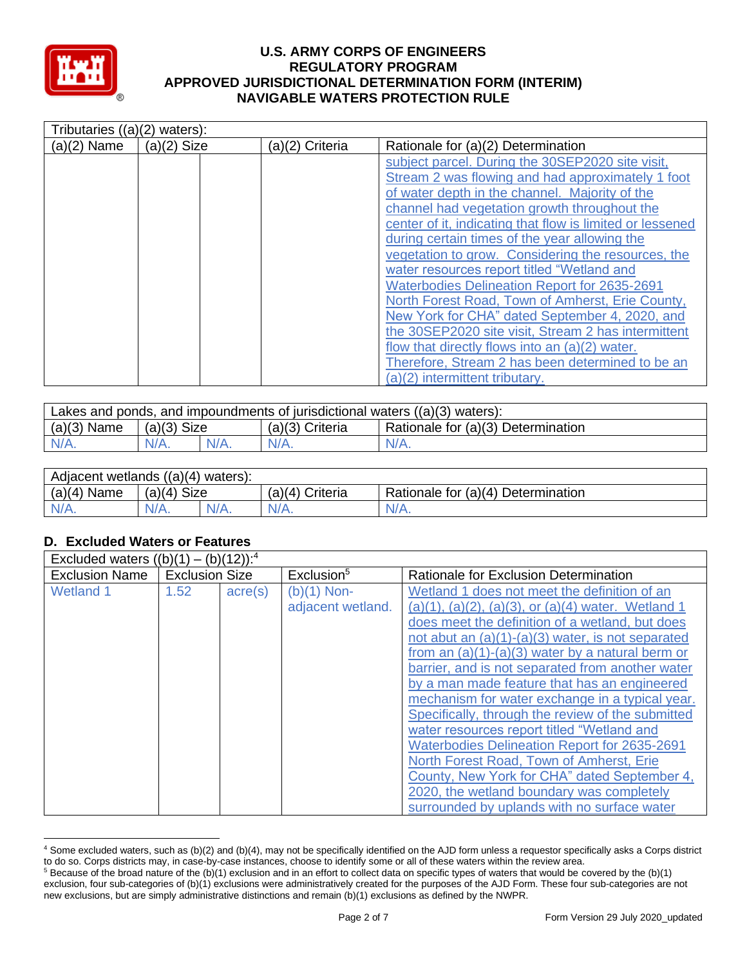

| Tributaries $((a)(2)$ waters): |               |                 |                                                                                                                                                                                                                                                                                                                                                                                                                           |
|--------------------------------|---------------|-----------------|---------------------------------------------------------------------------------------------------------------------------------------------------------------------------------------------------------------------------------------------------------------------------------------------------------------------------------------------------------------------------------------------------------------------------|
| $(a)(2)$ Name                  | $(a)(2)$ Size | (a)(2) Criteria | Rationale for (a)(2) Determination                                                                                                                                                                                                                                                                                                                                                                                        |
|                                |               |                 | subject parcel. During the 30SEP2020 site visit,<br>Stream 2 was flowing and had approximately 1 foot<br>of water depth in the channel. Majority of the<br>channel had vegetation growth throughout the<br>center of it, indicating that flow is limited or lessened<br>during certain times of the year allowing the<br>vegetation to grow. Considering the resources, the<br>water resources report titled "Wetland and |
|                                |               |                 | <b>Waterbodies Delineation Report for 2635-2691</b><br>North Forest Road, Town of Amherst, Erie County,<br>New York for CHA" dated September 4, 2020, and<br>the 30SEP2020 site visit, Stream 2 has intermittent<br>flow that directly flows into an (a)(2) water.<br>Therefore, Stream 2 has been determined to be an<br>(a)(2) intermittent tributary.                                                                  |

| Lakes and ponds, and impoundments of jurisdictional waters $((a)(3)$ waters): |                    |  |                 |                                    |  |  |  |
|-------------------------------------------------------------------------------|--------------------|--|-----------------|------------------------------------|--|--|--|
| $(a)(3)$ Name                                                                 | $(a)(3)$ Size      |  | (a)(3) Criteria | Rationale for (a)(3) Determination |  |  |  |
| N/A.                                                                          | $N/A$ .<br>$N/A$ . |  | $N/A$ .         | $N/A$ .                            |  |  |  |

| Adjacent wetlands $((a)(4)$ waters): |                  |  |                            |                                    |  |  |
|--------------------------------------|------------------|--|----------------------------|------------------------------------|--|--|
| $(a)(4)$ Name                        | $(a)(4)$ Size    |  | Criteria<br>(a)(4) $\zeta$ | Rationale for (a)(4) Determination |  |  |
| N/A.                                 | $N/A$ .<br>'V/A. |  | $N/A$ .                    | $N/A$ .                            |  |  |

# **D. Excluded Waters or Features**

| Excluded waters $((b)(1) - (b)(12))$ : <sup>4</sup> |                       |                  |                                    |                                                                                                                                                                                                                                                                                                                                                                                                                                                   |  |  |  |
|-----------------------------------------------------|-----------------------|------------------|------------------------------------|---------------------------------------------------------------------------------------------------------------------------------------------------------------------------------------------------------------------------------------------------------------------------------------------------------------------------------------------------------------------------------------------------------------------------------------------------|--|--|--|
| <b>Exclusion Name</b>                               | <b>Exclusion Size</b> |                  | Exclusion <sup>5</sup>             | Rationale for Exclusion Determination                                                                                                                                                                                                                                                                                                                                                                                                             |  |  |  |
| <b>Wetland 1</b>                                    | 1.52                  | $\text{acre}(s)$ | $(b)(1)$ Non-<br>adjacent wetland. | Wetland 1 does not meet the definition of an<br>$(a)(1)$ , $(a)(2)$ , $(a)(3)$ , or $(a)(4)$ water. Wetland 1<br>does meet the definition of a wetland, but does<br>not abut an $(a)(1)-(a)(3)$ water, is not separated<br>from an $(a)(1)-(a)(3)$ water by a natural berm or<br>barrier, and is not separated from another water                                                                                                                 |  |  |  |
|                                                     |                       |                  |                                    | by a man made feature that has an engineered<br>mechanism for water exchange in a typical year.<br>Specifically, through the review of the submitted<br>water resources report titled "Wetland and<br><b>Waterbodies Delineation Report for 2635-2691</b><br>North Forest Road, Town of Amherst, Erie<br>County, New York for CHA" dated September 4,<br>2020, the wetland boundary was completely<br>surrounded by uplands with no surface water |  |  |  |

<sup>4</sup> Some excluded waters, such as (b)(2) and (b)(4), may not be specifically identified on the AJD form unless a requestor specifically asks a Corps district to do so. Corps districts may, in case-by-case instances, choose to identify some or all of these waters within the review area.

 $5$  Because of the broad nature of the (b)(1) exclusion and in an effort to collect data on specific types of waters that would be covered by the (b)(1) exclusion, four sub-categories of (b)(1) exclusions were administratively created for the purposes of the AJD Form. These four sub-categories are not new exclusions, but are simply administrative distinctions and remain (b)(1) exclusions as defined by the NWPR.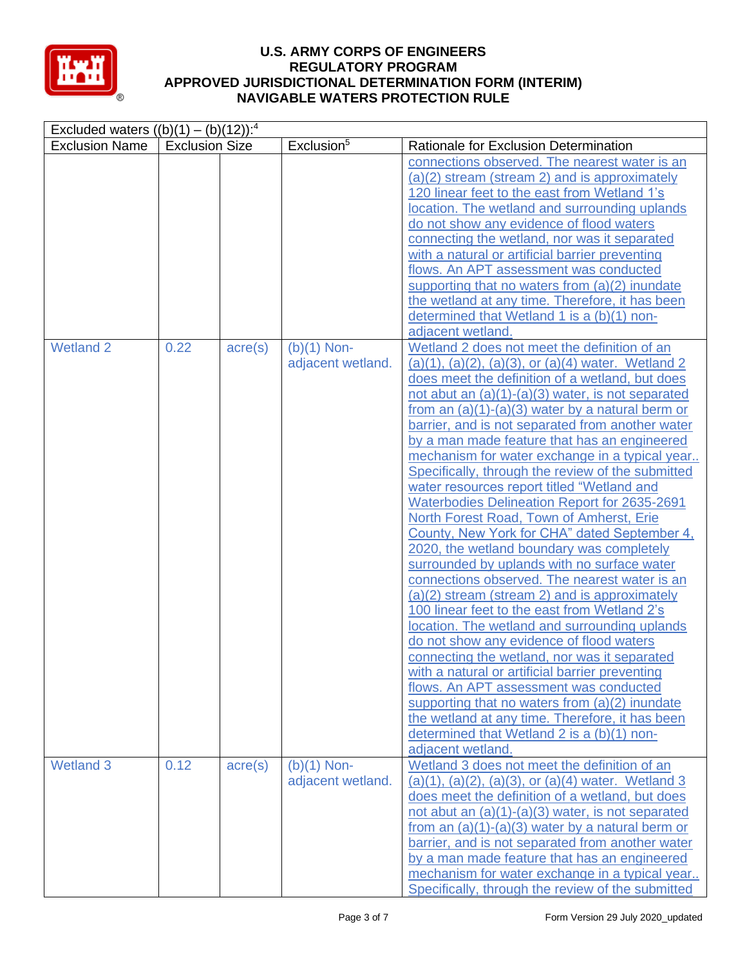

| Excluded waters $((b)(1) - (b)(12))$ : <sup>4</sup> |                       |                  |                                    |                                                                                                                                                                                                                                                                                                                                                                                                                                                                                                                                                                                                                                                                                                                                                                                                                                                                                                                                                                                                                                                                                                                                                                                                                                                                                                                                                    |  |  |  |
|-----------------------------------------------------|-----------------------|------------------|------------------------------------|----------------------------------------------------------------------------------------------------------------------------------------------------------------------------------------------------------------------------------------------------------------------------------------------------------------------------------------------------------------------------------------------------------------------------------------------------------------------------------------------------------------------------------------------------------------------------------------------------------------------------------------------------------------------------------------------------------------------------------------------------------------------------------------------------------------------------------------------------------------------------------------------------------------------------------------------------------------------------------------------------------------------------------------------------------------------------------------------------------------------------------------------------------------------------------------------------------------------------------------------------------------------------------------------------------------------------------------------------|--|--|--|
| <b>Exclusion Name</b>                               | <b>Exclusion Size</b> |                  | Exclusion <sup>5</sup>             | Rationale for Exclusion Determination                                                                                                                                                                                                                                                                                                                                                                                                                                                                                                                                                                                                                                                                                                                                                                                                                                                                                                                                                                                                                                                                                                                                                                                                                                                                                                              |  |  |  |
|                                                     |                       |                  |                                    | connections observed. The nearest water is an<br>(a)(2) stream (stream 2) and is approximately<br>120 linear feet to the east from Wetland 1's<br>location. The wetland and surrounding uplands<br>do not show any evidence of flood waters<br>connecting the wetland, nor was it separated<br>with a natural or artificial barrier preventing<br>flows. An APT assessment was conducted<br>supporting that no waters from (a)(2) inundate<br>the wetland at any time. Therefore, it has been<br>determined that Wetland 1 is a (b)(1) non-<br>adjacent wetland.                                                                                                                                                                                                                                                                                                                                                                                                                                                                                                                                                                                                                                                                                                                                                                                   |  |  |  |
| <b>Wetland 2</b>                                    | 0.22                  | $\text{acre}(s)$ | $(b)(1)$ Non-<br>adjacent wetland. | Wetland 2 does not meet the definition of an<br>$(a)(1), (a)(2), (a)(3),$ or $(a)(4)$ water. Wetland 2<br>does meet the definition of a wetland, but does<br>not abut an $(a)(1)-(a)(3)$ water, is not separated<br>from an $(a)(1)-(a)(3)$ water by a natural berm or<br>barrier, and is not separated from another water<br>by a man made feature that has an engineered<br>mechanism for water exchange in a typical year<br>Specifically, through the review of the submitted<br>water resources report titled "Wetland and<br><b>Waterbodies Delineation Report for 2635-2691</b><br>North Forest Road, Town of Amherst, Erie<br>County, New York for CHA" dated September 4,<br>2020, the wetland boundary was completely<br>surrounded by uplands with no surface water<br>connections observed. The nearest water is an<br>(a)(2) stream (stream 2) and is approximately<br>100 linear feet to the east from Wetland 2's<br>location. The wetland and surrounding uplands<br>do not show any evidence of flood waters<br>connecting the wetland, nor was it separated<br>with a natural or artificial barrier preventing<br>flows. An APT assessment was conducted<br>supporting that no waters from (a)(2) inundate<br>the wetland at any time. Therefore, it has been<br>determined that Wetland 2 is a (b)(1) non-<br>adjacent wetland. |  |  |  |
| <b>Wetland 3</b>                                    | 0.12                  | $\text{acre}(s)$ | $(b)(1)$ Non-<br>adjacent wetland. | Wetland 3 does not meet the definition of an<br>$(a)(1), (a)(2), (a)(3),$ or $(a)(4)$ water. Wetland 3<br>does meet the definition of a wetland, but does<br>not abut an $(a)(1)-(a)(3)$ water, is not separated<br>from an $(a)(1)-(a)(3)$ water by a natural berm or<br>barrier, and is not separated from another water<br>by a man made feature that has an engineered<br>mechanism for water exchange in a typical year<br>Specifically, through the review of the submitted                                                                                                                                                                                                                                                                                                                                                                                                                                                                                                                                                                                                                                                                                                                                                                                                                                                                  |  |  |  |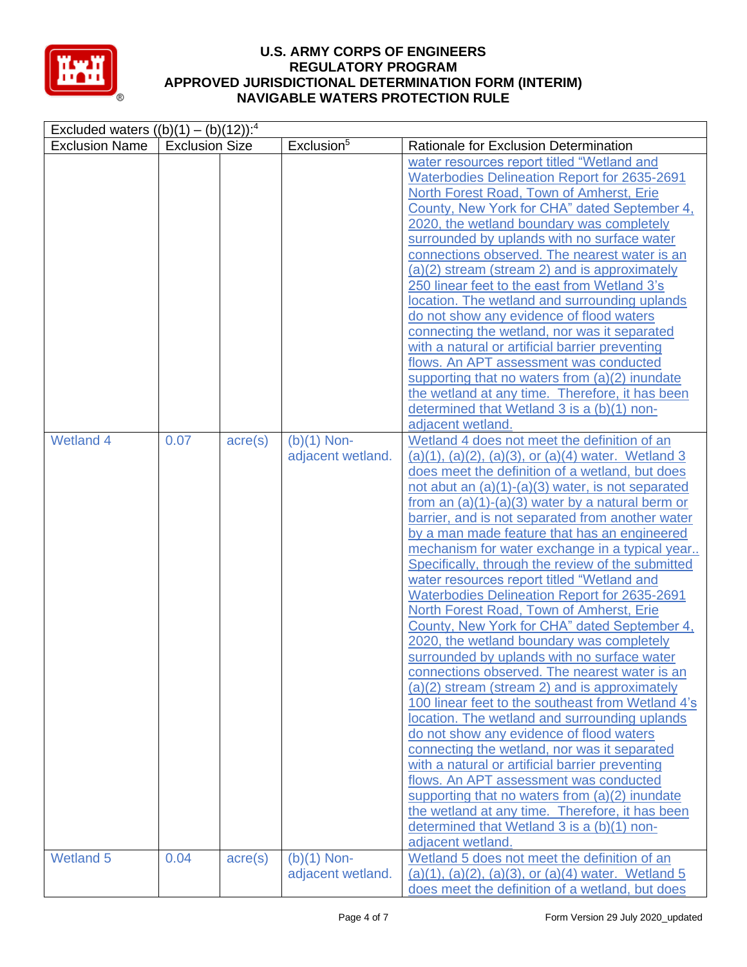

| Excluded waters $((b)(1) - (b)(12))$ : <sup>4</sup> |                       |                  |                                    |                                                                                                                                                                                                                                                                                                                                                                                                                                                                                                                                                                                                                                                                                                                                                                                                                                                                                                                                                                                                                                                                                                                                                                                                                                                                                                                                                         |  |  |  |
|-----------------------------------------------------|-----------------------|------------------|------------------------------------|---------------------------------------------------------------------------------------------------------------------------------------------------------------------------------------------------------------------------------------------------------------------------------------------------------------------------------------------------------------------------------------------------------------------------------------------------------------------------------------------------------------------------------------------------------------------------------------------------------------------------------------------------------------------------------------------------------------------------------------------------------------------------------------------------------------------------------------------------------------------------------------------------------------------------------------------------------------------------------------------------------------------------------------------------------------------------------------------------------------------------------------------------------------------------------------------------------------------------------------------------------------------------------------------------------------------------------------------------------|--|--|--|
| <b>Exclusion Name</b>                               | <b>Exclusion Size</b> |                  | Exclusion <sup>5</sup>             | Rationale for Exclusion Determination                                                                                                                                                                                                                                                                                                                                                                                                                                                                                                                                                                                                                                                                                                                                                                                                                                                                                                                                                                                                                                                                                                                                                                                                                                                                                                                   |  |  |  |
|                                                     |                       |                  |                                    | water resources report titled "Wetland and<br><b>Waterbodies Delineation Report for 2635-2691</b><br>North Forest Road, Town of Amherst, Erie<br>County, New York for CHA" dated September 4,<br>2020, the wetland boundary was completely<br>surrounded by uplands with no surface water<br>connections observed. The nearest water is an<br>(a)(2) stream (stream 2) and is approximately<br>250 linear feet to the east from Wetland 3's<br>location. The wetland and surrounding uplands<br>do not show any evidence of flood waters<br>connecting the wetland, nor was it separated<br>with a natural or artificial barrier preventing<br>flows. An APT assessment was conducted<br>supporting that no waters from (a)(2) inundate<br>the wetland at any time. Therefore, it has been<br>determined that Wetland 3 is a (b)(1) non-<br>adjacent wetland.                                                                                                                                                                                                                                                                                                                                                                                                                                                                                           |  |  |  |
| <b>Wetland 4</b>                                    | 0.07                  | $\text{acre}(s)$ | $(b)(1)$ Non-<br>adjacent wetland. | Wetland 4 does not meet the definition of an<br>$(a)(1), (a)(2), (a)(3),$ or $(a)(4)$ water. Wetland 3<br>does meet the definition of a wetland, but does<br>not abut an $(a)(1)-(a)(3)$ water, is not separated<br>from an $(a)(1)-(a)(3)$ water by a natural berm or<br>barrier, and is not separated from another water<br>by a man made feature that has an engineered<br>mechanism for water exchange in a typical year<br>Specifically, through the review of the submitted<br>water resources report titled "Wetland and<br><b>Waterbodies Delineation Report for 2635-2691</b><br>North Forest Road, Town of Amherst, Erie<br>County, New York for CHA" dated September 4,<br>2020, the wetland boundary was completely<br>surrounded by uplands with no surface water<br>connections observed. The nearest water is an<br>(a)(2) stream (stream 2) and is approximately<br>100 linear feet to the southeast from Wetland 4's<br>location. The wetland and surrounding uplands<br>do not show any evidence of flood waters<br>connecting the wetland, nor was it separated<br>with a natural or artificial barrier preventing<br>flows. An APT assessment was conducted<br>supporting that no waters from (a)(2) inundate<br>the wetland at any time. Therefore, it has been<br>determined that Wetland 3 is a (b)(1) non-<br>adjacent wetland. |  |  |  |
| <b>Wetland 5</b>                                    | 0.04                  | $\text{acre}(s)$ | $(b)(1)$ Non-<br>adjacent wetland. | Wetland 5 does not meet the definition of an<br>$(a)(1)$ , $(a)(2)$ , $(a)(3)$ , or $(a)(4)$ water. Wetland 5<br>does meet the definition of a wetland, but does                                                                                                                                                                                                                                                                                                                                                                                                                                                                                                                                                                                                                                                                                                                                                                                                                                                                                                                                                                                                                                                                                                                                                                                        |  |  |  |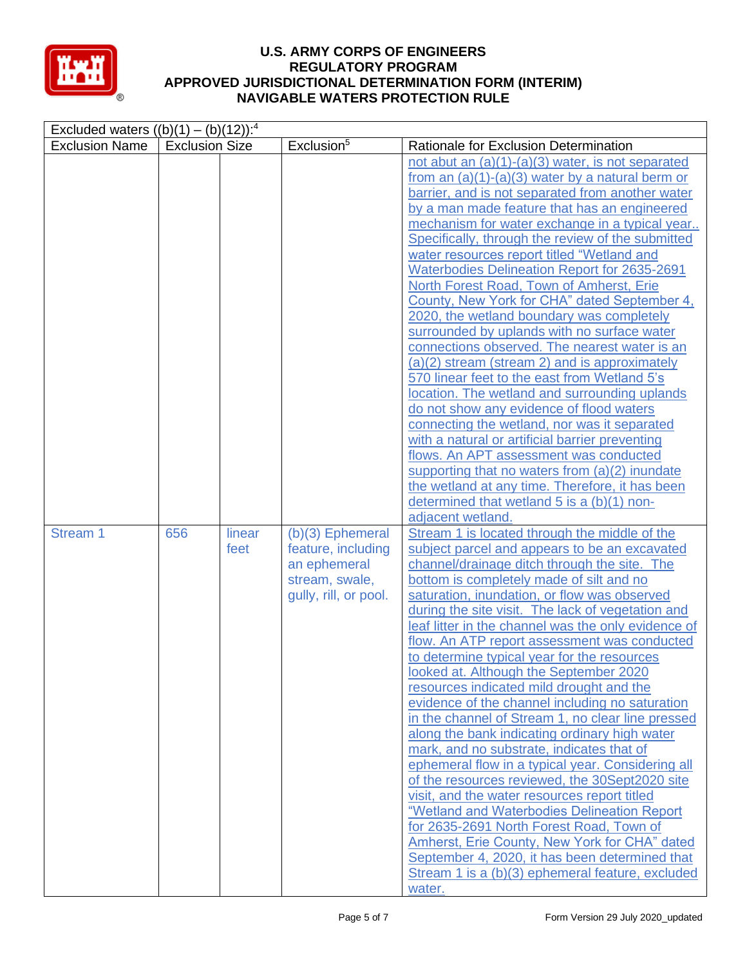

| Excluded waters $((b)(1) - (b)(12))$ : <sup>4</sup> |                       |                |                                                                                                     |                                                                                                                                                                                                                                                                                                                                                                                                                                                                                                                                                                                                                                                                                                                                                                                                                                                                                                                                                                                                                                                                                                                                                                                       |
|-----------------------------------------------------|-----------------------|----------------|-----------------------------------------------------------------------------------------------------|---------------------------------------------------------------------------------------------------------------------------------------------------------------------------------------------------------------------------------------------------------------------------------------------------------------------------------------------------------------------------------------------------------------------------------------------------------------------------------------------------------------------------------------------------------------------------------------------------------------------------------------------------------------------------------------------------------------------------------------------------------------------------------------------------------------------------------------------------------------------------------------------------------------------------------------------------------------------------------------------------------------------------------------------------------------------------------------------------------------------------------------------------------------------------------------|
| <b>Exclusion Name</b>                               | <b>Exclusion Size</b> |                | Exclusion <sup>5</sup>                                                                              | Rationale for Exclusion Determination                                                                                                                                                                                                                                                                                                                                                                                                                                                                                                                                                                                                                                                                                                                                                                                                                                                                                                                                                                                                                                                                                                                                                 |
|                                                     |                       |                |                                                                                                     | not abut an $(a)(1)-(a)(3)$ water, is not separated<br>from an $(a)(1)-(a)(3)$ water by a natural berm or<br>barrier, and is not separated from another water<br>by a man made feature that has an engineered<br>mechanism for water exchange in a typical year<br>Specifically, through the review of the submitted<br>water resources report titled "Wetland and<br><b>Waterbodies Delineation Report for 2635-2691</b><br>North Forest Road, Town of Amherst, Erie<br>County, New York for CHA" dated September 4,<br>2020, the wetland boundary was completely<br>surrounded by uplands with no surface water<br>connections observed. The nearest water is an<br>(a)(2) stream (stream 2) and is approximately<br>570 linear feet to the east from Wetland 5's<br>location. The wetland and surrounding uplands<br>do not show any evidence of flood waters<br>connecting the wetland, nor was it separated<br>with a natural or artificial barrier preventing<br>flows. An APT assessment was conducted<br>supporting that no waters from (a)(2) inundate<br>the wetland at any time. Therefore, it has been<br>determined that wetland 5 is a (b)(1) non-<br>adjacent wetland. |
| Stream 1                                            | 656                   | linear<br>feet | $(b)(3)$ Ephemeral<br>feature, including<br>an ephemeral<br>stream, swale,<br>gully, rill, or pool. | Stream 1 is located through the middle of the<br>subject parcel and appears to be an excavated<br>channel/drainage ditch through the site. The<br>bottom is completely made of silt and no<br>saturation, inundation, or flow was observed<br>during the site visit. The lack of vegetation and<br>leaf litter in the channel was the only evidence of<br>flow. An ATP report assessment was conducted<br>to determine typical year for the resources<br>looked at. Although the September 2020<br>resources indicated mild drought and the<br>evidence of the channel including no saturation<br>in the channel of Stream 1, no clear line pressed<br>along the bank indicating ordinary high water<br>mark, and no substrate, indicates that of<br>ephemeral flow in a typical year. Considering all<br>of the resources reviewed, the 30Sept2020 site<br>visit, and the water resources report titled<br>"Wetland and Waterbodies Delineation Report<br>for 2635-2691 North Forest Road, Town of<br>Amherst, Erie County, New York for CHA" dated<br>September 4, 2020, it has been determined that<br>Stream 1 is a (b)(3) ephemeral feature, excluded<br>water.                  |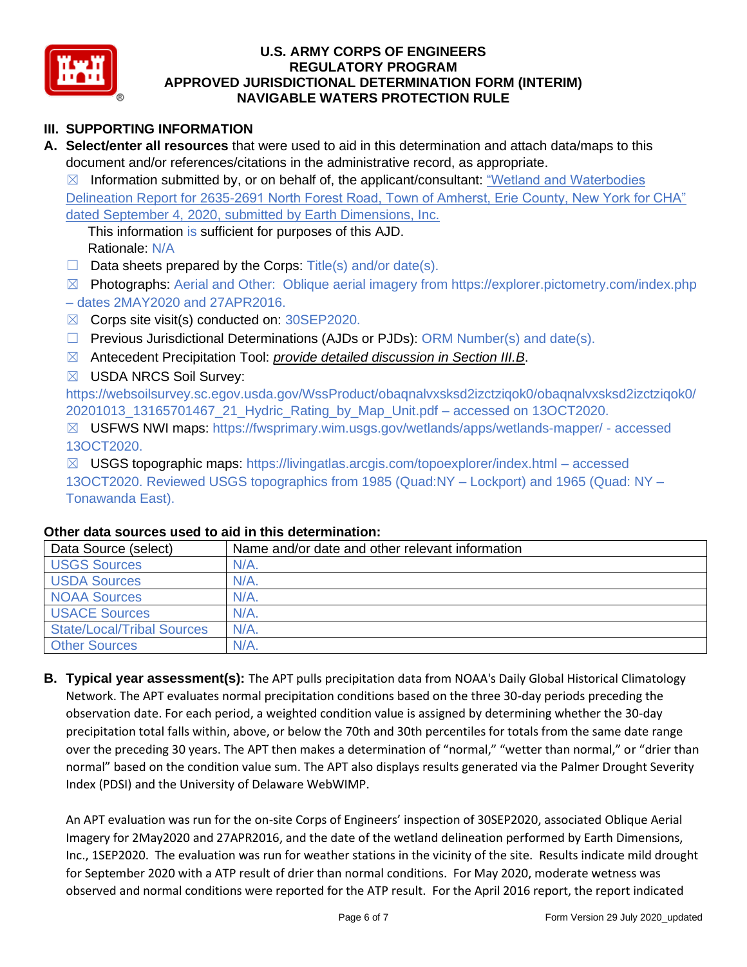

# **III. SUPPORTING INFORMATION**

**A. Select/enter all resources** that were used to aid in this determination and attach data/maps to this document and/or references/citations in the administrative record, as appropriate.

 $\boxtimes$  Information submitted by, or on behalf of, the applicant/consultant: "Wetland and Waterbodies Delineation Report for 2635-2691 North Forest Road, Town of Amherst, Erie County, New York for CHA" dated September 4, 2020, submitted by Earth Dimensions, Inc.

This information is sufficient for purposes of this AJD. Rationale: N/A

- $\Box$  Data sheets prepared by the Corps: Title(s) and/or date(s).
- ☒ Photographs: Aerial and Other: Oblique aerial imagery from https://explorer.pictometry.com/index.php – dates 2MAY2020 and 27APR2016.
- ☒ Corps site visit(s) conducted on: 30SEP2020.
- $\Box$  Previous Jurisdictional Determinations (AJDs or PJDs): ORM Number(s) and date(s).
- ☒ Antecedent Precipitation Tool: *provide detailed discussion in Section III.B*.
- ☒ USDA NRCS Soil Survey:

https://websoilsurvey.sc.egov.usda.gov/WssProduct/obaqnalvxsksd2izctziqok0/obaqnalvxsksd2izctziqok0/ 20201013\_13165701467\_21\_Hydric\_Rating\_by\_Map\_Unit.pdf – accessed on 13OCT2020.

☒ USFWS NWI maps: https://fwsprimary.wim.usgs.gov/wetlands/apps/wetlands-mapper/ - accessed 13OCT2020.

☒ USGS topographic maps: https://livingatlas.arcgis.com/topoexplorer/index.html – accessed 13OCT2020. Reviewed USGS topographics from 1985 (Quad:NY – Lockport) and 1965 (Quad: NY – Tonawanda East).

| Data Source (select)              | Name and/or date and other relevant information |
|-----------------------------------|-------------------------------------------------|
| <b>USGS Sources</b>               | $N/A$ .                                         |
| <b>USDA Sources</b>               | $N/A$ .                                         |
| <b>NOAA Sources</b>               | $N/A$ .                                         |
| <b>USACE Sources</b>              | $N/A$ .                                         |
| <b>State/Local/Tribal Sources</b> | $N/A$ .                                         |
| <b>Other Sources</b>              | $N/A$ .                                         |

#### **Other data sources used to aid in this determination:**

**B. Typical year assessment(s):** The APT pulls precipitation data from NOAA's Daily Global Historical Climatology Network. The APT evaluates normal precipitation conditions based on the three 30-day periods preceding the observation date. For each period, a weighted condition value is assigned by determining whether the 30-day precipitation total falls within, above, or below the 70th and 30th percentiles for totals from the same date range over the preceding 30 years. The APT then makes a determination of "normal," "wetter than normal," or "drier than normal" based on the condition value sum. The APT also displays results generated via the Palmer Drought Severity Index (PDSI) and the University of Delaware WebWIMP.

An APT evaluation was run for the on-site Corps of Engineers' inspection of 30SEP2020, associated Oblique Aerial Imagery for 2May2020 and 27APR2016, and the date of the wetland delineation performed by Earth Dimensions, Inc., 1SEP2020. The evaluation was run for weather stations in the vicinity of the site. Results indicate mild drought for September 2020 with a ATP result of drier than normal conditions. For May 2020, moderate wetness was observed and normal conditions were reported for the ATP result. For the April 2016 report, the report indicated